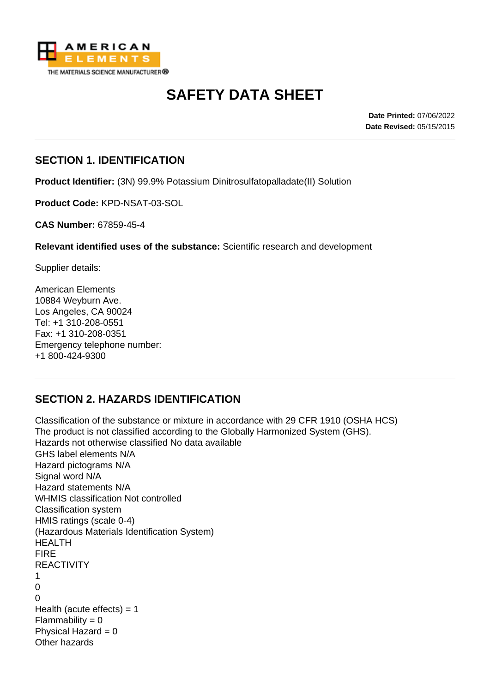

# **SAFETY DATA SHEET**

**Date Printed:** 07/06/2022 **Date Revised:** 05/15/2015

#### **SECTION 1. IDENTIFICATION**

**Product Identifier:** (3N) 99.9% Potassium Dinitrosulfatopalladate(II) Solution

**Product Code:** KPD-NSAT-03-SOL

**CAS Number:** 67859-45-4

**Relevant identified uses of the substance:** Scientific research and development

Supplier details:

American Elements 10884 Weyburn Ave. Los Angeles, CA 90024 Tel: +1 310-208-0551 Fax: +1 310-208-0351 Emergency telephone number: +1 800-424-9300

## **SECTION 2. HAZARDS IDENTIFICATION**

Classification of the substance or mixture in accordance with 29 CFR 1910 (OSHA HCS) The product is not classified according to the Globally Harmonized System (GHS). Hazards not otherwise classified No data available GHS label elements N/A Hazard pictograms N/A Signal word N/A Hazard statements N/A WHMIS classification Not controlled Classification system HMIS ratings (scale 0-4) (Hazardous Materials Identification System) HEALTH FIRE **REACTIVITY** 1  $\Omega$  $\Omega$ Health (acute effects)  $= 1$  $Flammability = 0$ Physical Hazard  $= 0$ Other hazards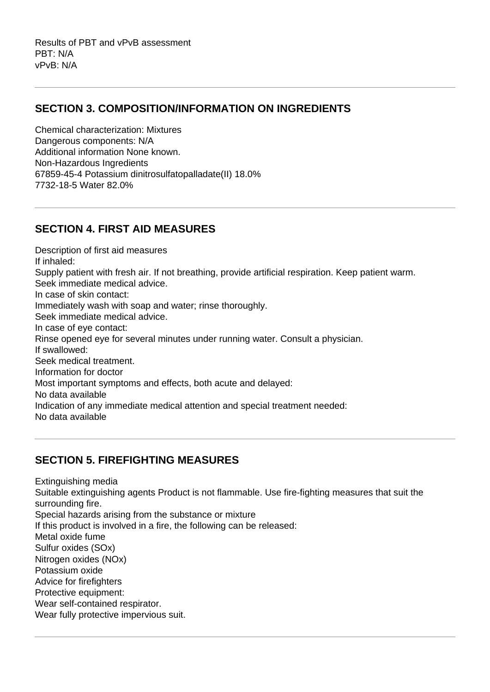Results of PBT and vPvB assessment PBT: N/A vPvB: N/A

#### **SECTION 3. COMPOSITION/INFORMATION ON INGREDIENTS**

Chemical characterization: Mixtures Dangerous components: N/A Additional information None known. Non-Hazardous Ingredients 67859-45-4 Potassium dinitrosulfatopalladate(II) 18.0% 7732-18-5 Water 82.0%

#### **SECTION 4. FIRST AID MEASURES**

Description of first aid measures If inhaled: Supply patient with fresh air. If not breathing, provide artificial respiration. Keep patient warm. Seek immediate medical advice. In case of skin contact: Immediately wash with soap and water; rinse thoroughly. Seek immediate medical advice. In case of eye contact: Rinse opened eye for several minutes under running water. Consult a physician. If swallowed: Seek medical treatment. Information for doctor Most important symptoms and effects, both acute and delayed: No data available Indication of any immediate medical attention and special treatment needed: No data available

## **SECTION 5. FIREFIGHTING MEASURES**

Extinguishing media Suitable extinguishing agents Product is not flammable. Use fire-fighting measures that suit the surrounding fire. Special hazards arising from the substance or mixture If this product is involved in a fire, the following can be released: Metal oxide fume Sulfur oxides (SOx) Nitrogen oxides (NOx) Potassium oxide Advice for firefighters Protective equipment: Wear self-contained respirator. Wear fully protective impervious suit.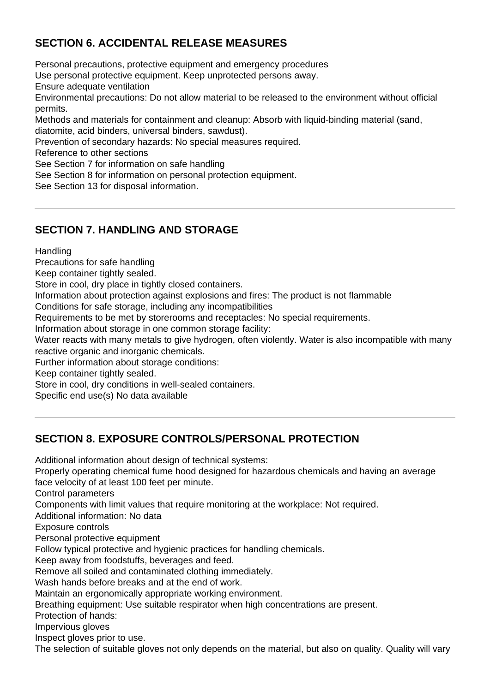# **SECTION 6. ACCIDENTAL RELEASE MEASURES**

Personal precautions, protective equipment and emergency procedures Use personal protective equipment. Keep unprotected persons away. Ensure adequate ventilation Environmental precautions: Do not allow material to be released to the environment without official permits. Methods and materials for containment and cleanup: Absorb with liquid-binding material (sand, diatomite, acid binders, universal binders, sawdust). Prevention of secondary hazards: No special measures required. Reference to other sections See Section 7 for information on safe handling See Section 8 for information on personal protection equipment. See Section 13 for disposal information.

## **SECTION 7. HANDLING AND STORAGE**

**Handling** 

Precautions for safe handling

Keep container tightly sealed.

Store in cool, dry place in tightly closed containers.

Information about protection against explosions and fires: The product is not flammable

Conditions for safe storage, including any incompatibilities

Requirements to be met by storerooms and receptacles: No special requirements.

Information about storage in one common storage facility:

Water reacts with many metals to give hydrogen, often violently. Water is also incompatible with many reactive organic and inorganic chemicals.

Further information about storage conditions:

Keep container tightly sealed.

Store in cool, dry conditions in well-sealed containers.

Specific end use(s) No data available

## **SECTION 8. EXPOSURE CONTROLS/PERSONAL PROTECTION**

Additional information about design of technical systems: Properly operating chemical fume hood designed for hazardous chemicals and having an average face velocity of at least 100 feet per minute. Control parameters Components with limit values that require monitoring at the workplace: Not required. Additional information: No data Exposure controls Personal protective equipment Follow typical protective and hygienic practices for handling chemicals. Keep away from foodstuffs, beverages and feed. Remove all soiled and contaminated clothing immediately. Wash hands before breaks and at the end of work. Maintain an ergonomically appropriate working environment. Breathing equipment: Use suitable respirator when high concentrations are present. Protection of hands: Impervious gloves Inspect gloves prior to use.

The selection of suitable gloves not only depends on the material, but also on quality. Quality will vary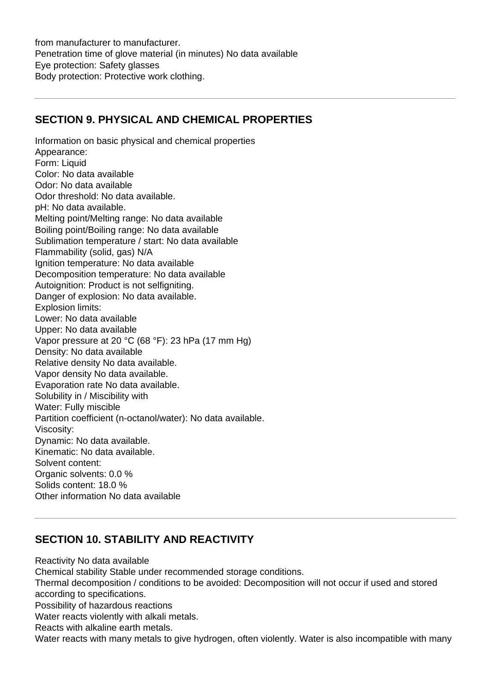from manufacturer to manufacturer. Penetration time of glove material (in minutes) No data available Eye protection: Safety glasses Body protection: Protective work clothing.

## **SECTION 9. PHYSICAL AND CHEMICAL PROPERTIES**

Information on basic physical and chemical properties Appearance: Form: Liquid Color: No data available Odor: No data available Odor threshold: No data available. pH: No data available. Melting point/Melting range: No data available Boiling point/Boiling range: No data available Sublimation temperature / start: No data available Flammability (solid, gas) N/A Ignition temperature: No data available Decomposition temperature: No data available Autoignition: Product is not selfigniting. Danger of explosion: No data available. Explosion limits: Lower: No data available Upper: No data available Vapor pressure at 20 °C (68 °F): 23 hPa (17 mm Hg) Density: No data available Relative density No data available. Vapor density No data available. Evaporation rate No data available. Solubility in / Miscibility with Water: Fully miscible Partition coefficient (n-octanol/water): No data available. Viscosity: Dynamic: No data available. Kinematic: No data available. Solvent content: Organic solvents: 0.0 % Solids content: 18.0 % Other information No data available

## **SECTION 10. STABILITY AND REACTIVITY**

Reactivity No data available Chemical stability Stable under recommended storage conditions. Thermal decomposition / conditions to be avoided: Decomposition will not occur if used and stored according to specifications. Possibility of hazardous reactions Water reacts violently with alkali metals. Reacts with alkaline earth metals. Water reacts with many metals to give hydrogen, often violently. Water is also incompatible with many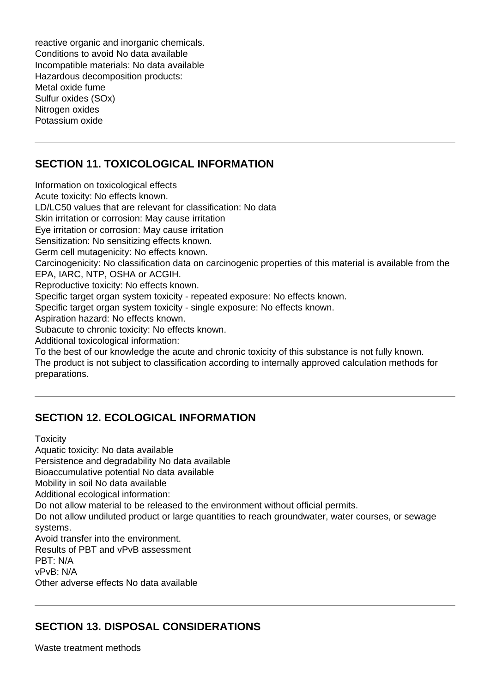reactive organic and inorganic chemicals. Conditions to avoid No data available Incompatible materials: No data available Hazardous decomposition products: Metal oxide fume Sulfur oxides (SOx) Nitrogen oxides Potassium oxide

# **SECTION 11. TOXICOLOGICAL INFORMATION**

Information on toxicological effects Acute toxicity: No effects known. LD/LC50 values that are relevant for classification: No data Skin irritation or corrosion: May cause irritation Eye irritation or corrosion: May cause irritation Sensitization: No sensitizing effects known. Germ cell mutagenicity: No effects known. Carcinogenicity: No classification data on carcinogenic properties of this material is available from the EPA, IARC, NTP, OSHA or ACGIH. Reproductive toxicity: No effects known. Specific target organ system toxicity - repeated exposure: No effects known. Specific target organ system toxicity - single exposure: No effects known. Aspiration hazard: No effects known. Subacute to chronic toxicity: No effects known. Additional toxicological information: To the best of our knowledge the acute and chronic toxicity of this substance is not fully known. The product is not subject to classification according to internally approved calculation methods for preparations.

# **SECTION 12. ECOLOGICAL INFORMATION**

**Toxicity** 

Aquatic toxicity: No data available

Persistence and degradability No data available

Bioaccumulative potential No data available

Mobility in soil No data available

Additional ecological information:

Do not allow material to be released to the environment without official permits.

Do not allow undiluted product or large quantities to reach groundwater, water courses, or sewage systems.

Avoid transfer into the environment.

Results of PBT and vPvB assessment

PBT: N/A

vPvB: N/A

Other adverse effects No data available

## **SECTION 13. DISPOSAL CONSIDERATIONS**

Waste treatment methods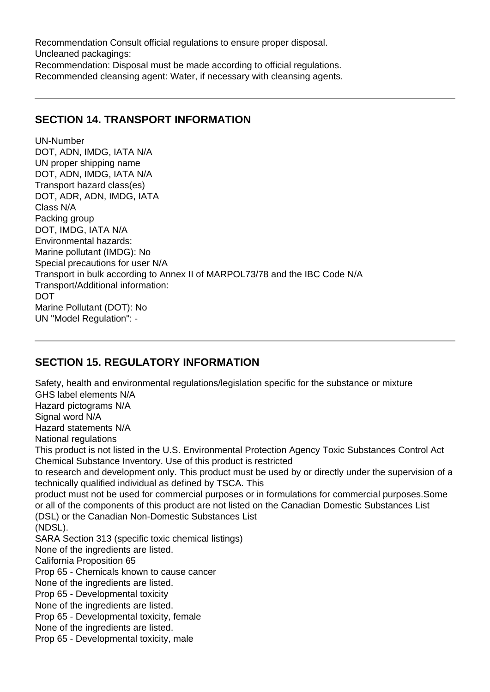Recommendation Consult official regulations to ensure proper disposal. Uncleaned packagings: Recommendation: Disposal must be made according to official regulations. Recommended cleansing agent: Water, if necessary with cleansing agents.

#### **SECTION 14. TRANSPORT INFORMATION**

UN-Number DOT, ADN, IMDG, IATA N/A UN proper shipping name DOT, ADN, IMDG, IATA N/A Transport hazard class(es) DOT, ADR, ADN, IMDG, IATA Class N/A Packing group DOT, IMDG, IATA N/A Environmental hazards: Marine pollutant (IMDG): No Special precautions for user N/A Transport in bulk according to Annex II of MARPOL73/78 and the IBC Code N/A Transport/Additional information: **DOT** Marine Pollutant (DOT): No UN "Model Regulation": -

## **SECTION 15. REGULATORY INFORMATION**

Safety, health and environmental regulations/legislation specific for the substance or mixture GHS label elements N/A Hazard pictograms N/A Signal word N/A Hazard statements N/A National regulations This product is not listed in the U.S. Environmental Protection Agency Toxic Substances Control Act Chemical Substance Inventory. Use of this product is restricted to research and development only. This product must be used by or directly under the supervision of a technically qualified individual as defined by TSCA. This product must not be used for commercial purposes or in formulations for commercial purposes.Some or all of the components of this product are not listed on the Canadian Domestic Substances List (DSL) or the Canadian Non-Domestic Substances List (NDSL). SARA Section 313 (specific toxic chemical listings) None of the ingredients are listed. California Proposition 65 Prop 65 - Chemicals known to cause cancer None of the ingredients are listed. Prop 65 - Developmental toxicity None of the ingredients are listed. Prop 65 - Developmental toxicity, female None of the ingredients are listed. Prop 65 - Developmental toxicity, male